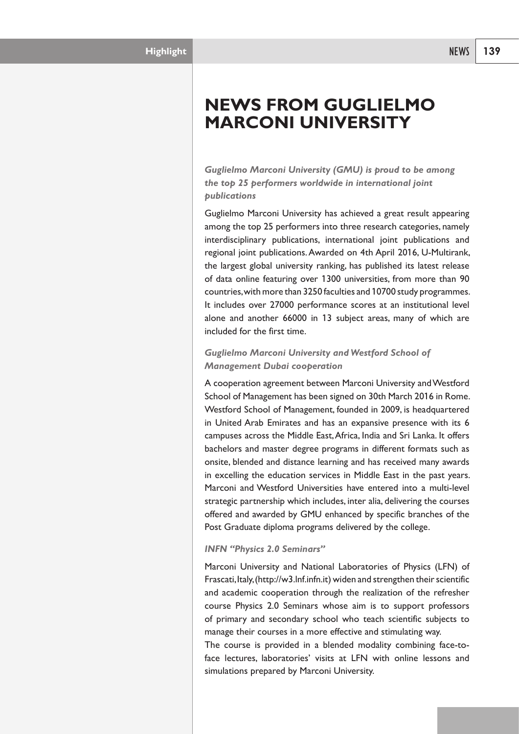*Guglielmo Marconi University (GMU) is proud to be among the top 25 performers worldwide in international joint publications*

Guglielmo Marconi University has achieved a great result appearing among the top 25 performers into three research categories, namely interdisciplinary publications, international joint publications and regional joint publications.Awarded on 4th April 2016, U-Multirank, the largest global university ranking, has published its latest release of data online featuring over 1300 universities, from more than 90 countries,with more than 3250 faculties and 10700 study programmes. It includes over 27000 performance scores at an institutional level alone and another 66000 in 13 subject areas, many of which are included for the first time.

## *Guglielmo Marconi University and Westford School of Management Dubai cooperation*

A cooperation agreement between Marconi University andWestford School of Management has been signed on 30th March 2016 in Rome. Westford School of Management, founded in 2009, is headquartered in United Arab Emirates and has an expansive presence with its 6 campuses across the Middle East,Africa, India and Sri Lanka. It offers bachelors and master degree programs in different formats such as onsite, blended and distance learning and has received many awards in excelling the education services in Middle East in the past years. Marconi and Westford Universities have entered into a multi-level strategic partnership which includes, inter alia, delivering the courses offered and awarded by GMU enhanced by specific branches of the Post Graduate diploma programs delivered by the college.

## *INFN "Physics 2.0 Seminars"*

Marconi University and National Laboratories of Physics (LFN) of Frascati, Italy, (http://w3.lnf.infn.it) widen and strengthen their scientific and academic cooperation through the realization of the refresher course Physics 2.0 Seminars whose aim is to support professors of primary and secondary school who teach scientific subjects to manage their courses in a more effective and stimulating way.

The course is provided in a blended modality combining face-toface lectures, laboratories' visits at LFN with online lessons and simulations prepared by Marconi University.